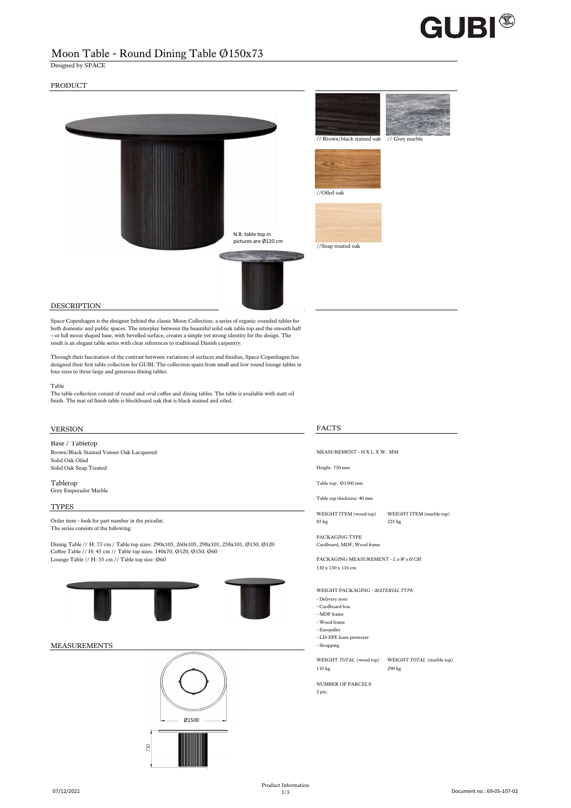# **GUBI®**

# Moon Table - Round Dining Table Ø150x73

Designed by SPACE

## PRODUCT



## DESCRIPTION

Space Copenhagen is the designer behind the classic Moon Collection; a series of organic rounded tables for both domestic and public spaces. The interplay between the beautiful solid oak table top and the smooth half – or full moon shaped base, with bevelled surface, creates a simple yet strong identity for the design. The result is an elegant table series with clear references to traditional Danish carpentry.

Through their fascination of the contrast between variations of surfaces and finishes, Space Copenhagen has designed their first table collection for GUBI. The collection spans from small and low round lounge tables in four sizes to three large and generous dining tables.

### Table

The table collection consist of round and oval coffee and dining tables. The table is available with matt oil finish. The mat oil finish table is blockboard oak that is black stained and oiled.

## VERSION FACTS

## Base / Tabletop

Brown/Black Stained Veneer Oak Lacquered MEASUREMENT - H X L X W: MM Solid Oak Oiled Solid Oak Soap Treated Height: 730 mm

Tabletop Table top: Ø1500 mm Grey Emperador Marble

### TYPES

The series consists of the following:

Dinnig Table // H: 73 cm / Table top sizes: 290x105, 260x105, 298x101, 258x101, Ø150, Ø120 Cardboard, MDF, Wood frame<br>Coffee Table // H: 45 cm // Table top sizes: 140x70, Ø120, Ø150, Ø60 Lounge Table // H: 55 cm // Table top size: Ø60 PACKAGING MEASUREMENT - *L x W x H CM* 





Table top thickness: 40 mm

WEIGHT ITEM (wood top) WEIGHT ITEM (marble top) Order item - look for part number in the pricelist.<br>85 kg 225 kg 225 kg 225 kg 225 kg 225 kg 225 kg 325 kg 325 kg 325 kg 325 kg 325 kg 325 kg 325 kg 325 kg 325 kg 325 kg 325 kg 325 kg 325 kg 325 kg 325 kg 325 kg 325 kg 325

PACKAGING TYPE

130 x 130 x 116 cm

WEIGHT PACKAGING - *MATERIAL TYPE*

- Delivery note - Cardboard box
- MDF frame
- Wood frame
- Europallet
- LD-EPE foam protector

WEIGHT *TOTAL* (wood top) WEIGHT *TOTAL* (marble top) 110 kg 290 kg

NUMBER OF PARCELS

2 psc.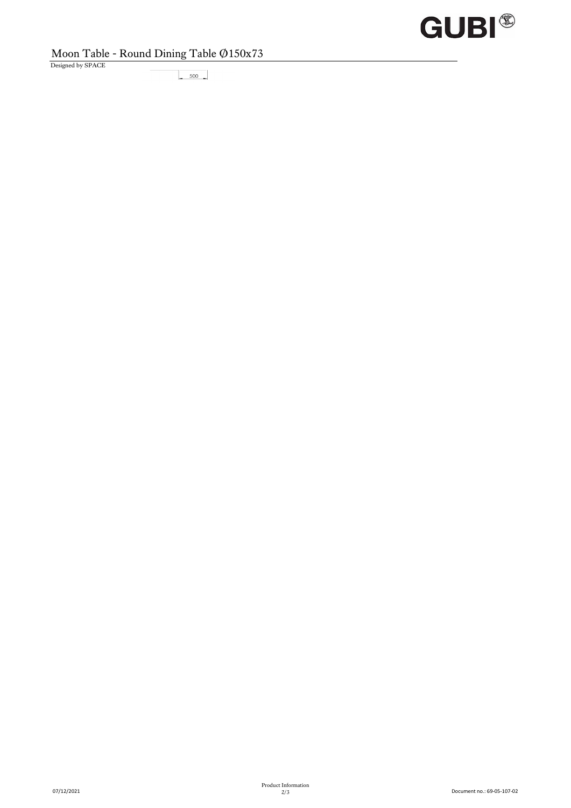# **GUBI®**

## Moon Table - Round Dining Table Ø150x73

Designed by SPACE

 $\frac{500}{2}$